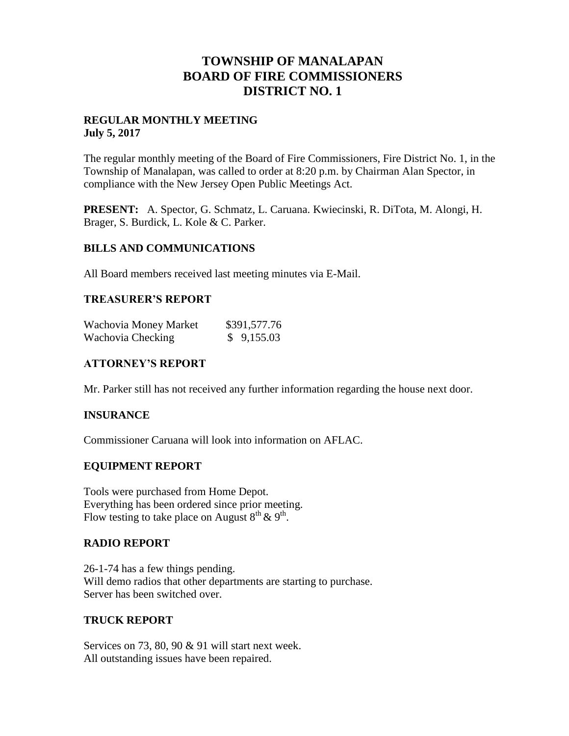## **TOWNSHIP OF MANALAPAN BOARD OF FIRE COMMISSIONERS DISTRICT NO. 1**

#### **REGULAR MONTHLY MEETING July 5, 2017**

The regular monthly meeting of the Board of Fire Commissioners, Fire District No. 1, in the Township of Manalapan, was called to order at 8:20 p.m. by Chairman Alan Spector, in compliance with the New Jersey Open Public Meetings Act.

**PRESENT:** A. Spector, G. Schmatz, L. Caruana. Kwiecinski, R. DiTota, M. Alongi, H. Brager, S. Burdick, L. Kole & C. Parker.

## **BILLS AND COMMUNICATIONS**

All Board members received last meeting minutes via E-Mail.

## **TREASURER'S REPORT**

| Wachovia Money Market | \$391,577.76 |
|-----------------------|--------------|
| Wachovia Checking     | \$9,155.03   |

## **ATTORNEY'S REPORT**

Mr. Parker still has not received any further information regarding the house next door.

#### **INSURANCE**

Commissioner Caruana will look into information on AFLAC.

#### **EQUIPMENT REPORT**

Tools were purchased from Home Depot. Everything has been ordered since prior meeting. Flow testing to take place on August  $8^{th}$  &  $9^{th}$ .

#### **RADIO REPORT**

26-1-74 has a few things pending. Will demo radios that other departments are starting to purchase. Server has been switched over.

#### **TRUCK REPORT**

Services on 73, 80, 90 & 91 will start next week. All outstanding issues have been repaired.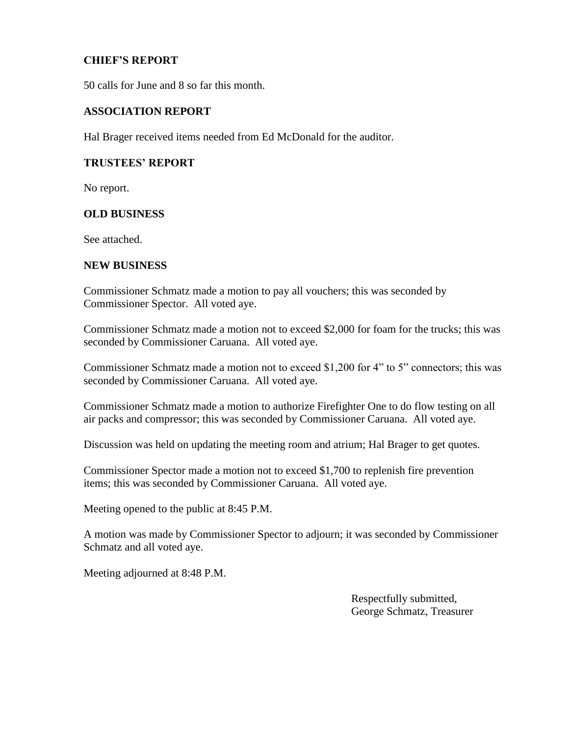## **CHIEF'S REPORT**

50 calls for June and 8 so far this month.

#### **ASSOCIATION REPORT**

Hal Brager received items needed from Ed McDonald for the auditor.

#### **TRUSTEES' REPORT**

No report.

#### **OLD BUSINESS**

See attached.

#### **NEW BUSINESS**

Commissioner Schmatz made a motion to pay all vouchers; this was seconded by Commissioner Spector. All voted aye.

Commissioner Schmatz made a motion not to exceed \$2,000 for foam for the trucks; this was seconded by Commissioner Caruana. All voted aye.

Commissioner Schmatz made a motion not to exceed \$1,200 for 4" to 5" connectors; this was seconded by Commissioner Caruana. All voted aye.

Commissioner Schmatz made a motion to authorize Firefighter One to do flow testing on all air packs and compressor; this was seconded by Commissioner Caruana. All voted aye.

Discussion was held on updating the meeting room and atrium; Hal Brager to get quotes.

Commissioner Spector made a motion not to exceed \$1,700 to replenish fire prevention items; this was seconded by Commissioner Caruana. All voted aye.

Meeting opened to the public at 8:45 P.M.

A motion was made by Commissioner Spector to adjourn; it was seconded by Commissioner Schmatz and all voted aye.

Meeting adjourned at 8:48 P.M.

 Respectfully submitted, George Schmatz, Treasurer